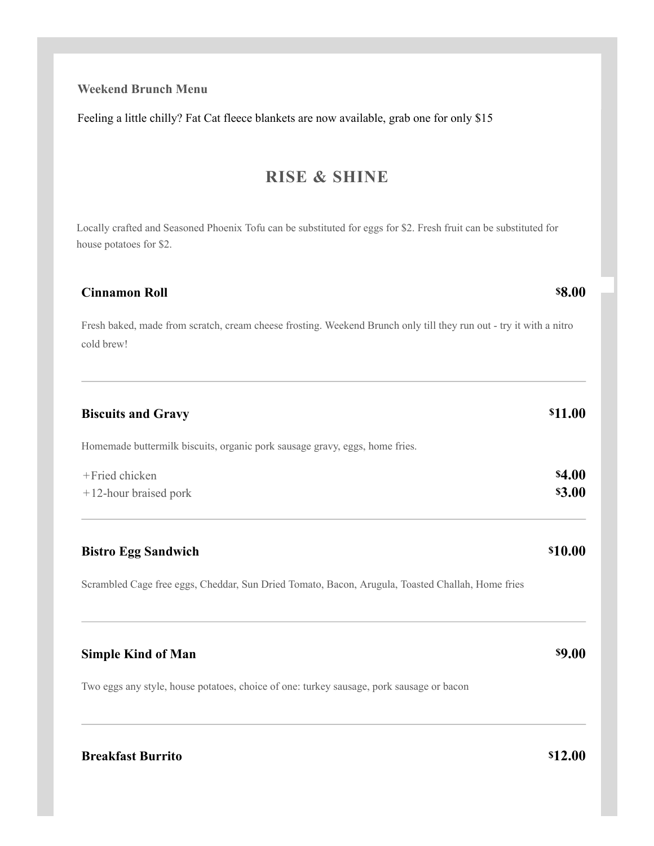## **Breakf**

| Homemade buttermilk biscuits, organic pork sausage gravy, eggs, home fries.                      |
|--------------------------------------------------------------------------------------------------|
| +Fried chicken<br>$+12$ -hour braised pork                                                       |
|                                                                                                  |
| <b>Bistro Egg Sandwich</b>                                                                       |
| Scrambled Cage free eggs, Cheddar, Sun Dried Tomato, Bacon, Arugula, Toasted Challah, Home fries |
| <b>Simple Kind of Man</b>                                                                        |
| Two eggs any style, house potatoes, choice of one: turkey sausage, pork sausage or bacon         |
| <b>Breakfast Burrito</b>                                                                         |

Locally crafted and Seasoned Phoenix Tofu can be substituted for eggs for \$2. Fresh fruit can be substituted for house potatoes for \$2.

### **Cinnamon Roll**

**Biscuits and Gravy**

Fresh baked, made from scratch, cream cheese frosting. Weekend Brunch only till they run out - try it with a nitro cold brew!

## **Weekend Brunch Menu**

Feeling a little chilly? Fat Cat fleece blankets are now available, grab one for only \$15

## **RISE & SHINE**

**\$10.00**

**\$4.00 \$3.00**

**\$11.00**

**\$9.00**

**\$12.00**

#### **\$8.00**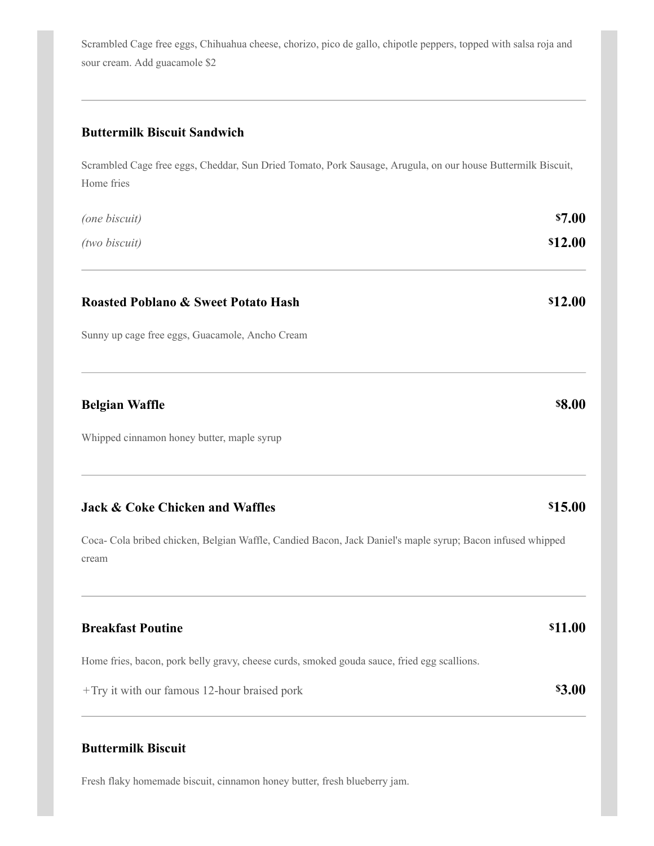Scrambled Cage free eggs, Chihuahua cheese, chorizo, pico de gallo, chipotle peppers, topped with salsa roja and sour cream. Add guacamole \$2

Scrambled Cage free eggs, Cheddar, Sun Dried Tomato, Pork Sausage, Arugula, on our house Buttermilk Biscuit,

## **Buttermilk Biscuit Sandwich**

| Home fries                                                                                                          |                |
|---------------------------------------------------------------------------------------------------------------------|----------------|
| (one biscuit)                                                                                                       | \$7.00         |
| (two biscuit)                                                                                                       | \$12.00        |
| <b>Roasted Poblano &amp; Sweet Potato Hash</b>                                                                      | \$12.00        |
| Sunny up cage free eggs, Guacamole, Ancho Cream                                                                     |                |
| <b>Belgian Waffle</b>                                                                                               | <b>\$8.00</b>  |
| Whipped cinnamon honey butter, maple syrup                                                                          |                |
| <b>Jack &amp; Coke Chicken and Waffles</b>                                                                          | \$15.00        |
| Coca- Cola bribed chicken, Belgian Waffle, Candied Bacon, Jack Daniel's maple syrup; Bacon infused whipped<br>cream |                |
| <b>Breakfast Poutine</b>                                                                                            | <b>\$11.00</b> |
| Home fries, bacon, pork belly gravy, cheese curds, smoked gouda sauce, fried egg scallions.                         |                |
| +Try it with our famous 12-hour braised pork                                                                        | <b>\$3.00</b>  |
|                                                                                                                     |                |

## **Buttermilk Biscuit**

Fresh flaky homemade biscuit, cinnamon honey butter, fresh blueberry jam.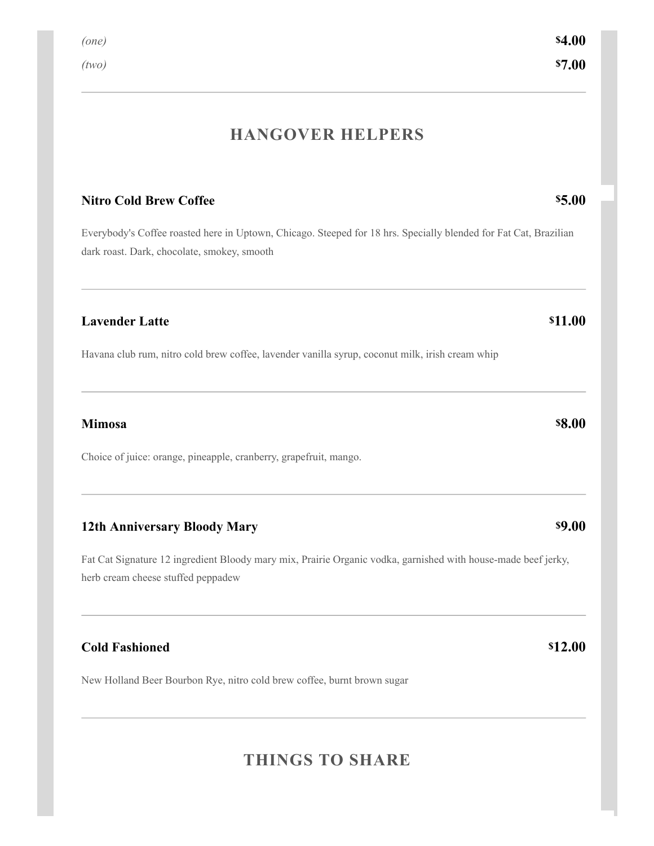## **HANGOVER HELPERS**

### **Nitro Cold Brew Coffee**

Everybody's Coffee roasted here in Uptown, Chicago. Steeped for 18 hrs. Specially blended for Fat Cat, Brazilian dark roast. Dark, chocolate, smokey, smooth

#### **Lavender Latte**

Havana club rum, nitro cold brew coffee, lavender vanilla syrup, coconut milk, irish cream whip

#### **Mimosa**

Choice of juice: orange, pineapple, cranberry, grapefruit, mango.

#### **12th Anniversary Bloody Mary**

Fat Cat Signature 12 ingredient Bloody mary mix, Prairie Organic vodka, garnished with house-made beef jerky, herb cream cheese stuffed peppadew

#### **Cold Fashioned**

New Holland Beer Bourbon Rye, nitro cold brew coffee, burnt brown sugar

## **THINGS TO SHARE**

# **\$5.00**

# **\$8.00**

### **\$9.00**

#### **\$12.00**

**\$11.00**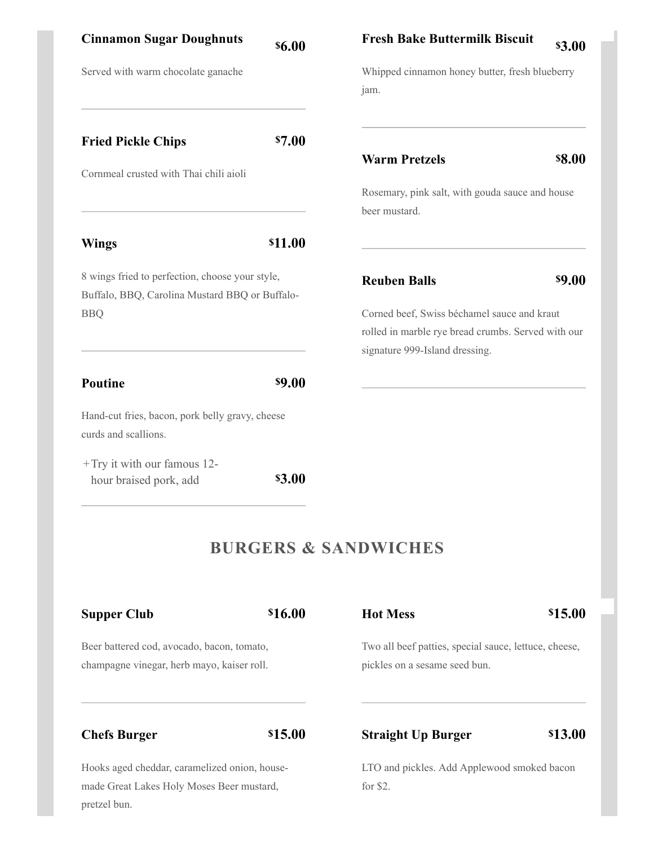| <b>Cinnamon Sugar Doughnuts</b>                                                                   | <b>\$6.00</b>  | <b>Fresh Bake Buttermilk Biscuit</b><br><b>\$3.00</b>                                                                               |  |
|---------------------------------------------------------------------------------------------------|----------------|-------------------------------------------------------------------------------------------------------------------------------------|--|
| Served with warm chocolate ganache                                                                |                | Whipped cinnamon honey butter, fresh blueberry<br>jam.                                                                              |  |
| <b>Fried Pickle Chips</b>                                                                         | <b>\$7.00</b>  | <b>\$8.00</b><br><b>Warm Pretzels</b>                                                                                               |  |
| Cornmeal crusted with Thai chili aioli                                                            |                | Rosemary, pink salt, with gouda sauce and house<br>beer mustard.                                                                    |  |
| <b>Wings</b>                                                                                      | <b>\$11.00</b> |                                                                                                                                     |  |
| 8 wings fried to perfection, choose your style,<br>Buffalo, BBQ, Carolina Mustard BBQ or Buffalo- |                | <b>\$9.00</b><br><b>Reuben Balls</b>                                                                                                |  |
| <b>BBQ</b>                                                                                        |                | Corned beef, Swiss béchamel sauce and kraut<br>rolled in marble rye bread crumbs. Served with our<br>signature 999-Island dressing. |  |
| Poutine                                                                                           | <b>\$9.00</b>  |                                                                                                                                     |  |
| Hand-cut fries, bacon, pork belly gravy, cheese<br>curds and scallions.                           |                |                                                                                                                                     |  |

**\$3.00** + Try it with our famous 12hour braised pork, add

## **BURGERS & SANDWICHES**

| <b>Supper Club</b>                                                                       | \$16.00 | <b>Hot Mess</b>                                                                        | \$15.00 |
|------------------------------------------------------------------------------------------|---------|----------------------------------------------------------------------------------------|---------|
| Beer battered cod, avocado, bacon, tomato,<br>champagne vinegar, herb mayo, kaiser roll. |         | Two all beef patties, special sauce, lettuce, cheese,<br>pickles on a sesame seed bun. |         |
| <b>Chefs Burger</b>                                                                      | \$15.00 | <b>Straight Up Burger</b>                                                              | \$13.00 |
| Hooks aged cheddar, caramelized onion, house-                                            |         | LTO and pickles. Add Applewood smoked bacon                                            |         |
| made Great Lakes Holy Moses Beer mustard,                                                |         | for \$2.                                                                               |         |
| pretzel bun.                                                                             |         |                                                                                        |         |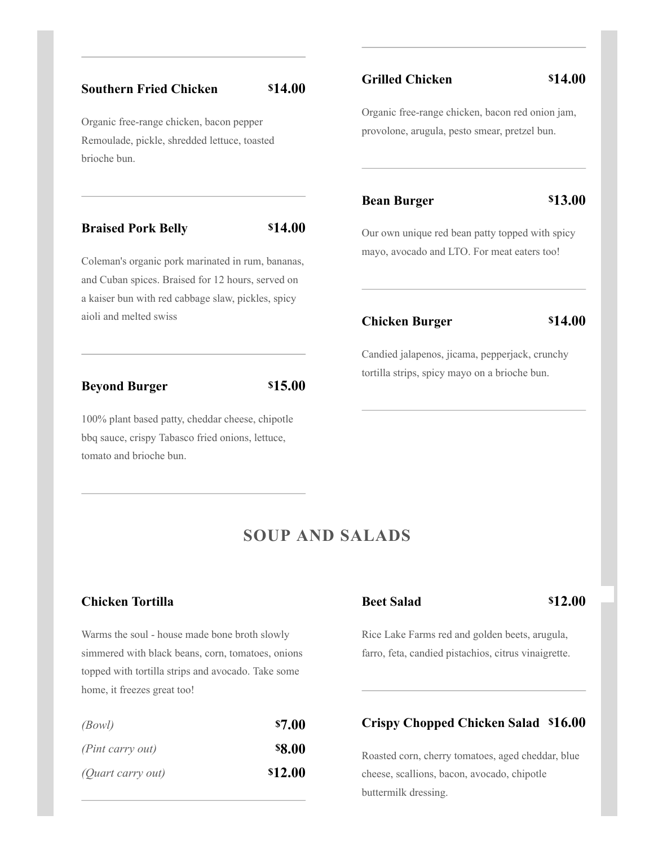#### **Southern Fried Chicken \$14.00**

Organic free-range chicken, bacon pepper Remoulade, pickle, shredded lettuce, toasted brioche bun.

#### **Braised Pork Belly \$14.00**

Coleman's organic pork marinated in rum, bananas, and Cuban spices. Braised for 12 hours, served on a kaiser bun with red cabbage slaw, pickles, spicy aioli and melted swiss **Chicken Burger**

#### **Beyond Burger**

**\$15.00**

100% plant based patty, cheddar cheese, chipotle bbq sauce, crispy Tabasco fried onions, lettuce, tomato and brioche bun.

### **Grilled Chicken**

#### **\$14.00**

Organic free-range chicken, bacon red onion jam, provolone, arugula, pesto smear, pretzel bun.

#### **Bean Burger**

**\$13.00**

Our own unique red bean patty topped with spicy mayo, avocado and LTO. For meat eaters too!

**\$14.00**

Candied jalapenos, jicama, pepperjack, crunchy tortilla strips, spicy mayo on a brioche bun.

## **SOUP AND SALADS**

### **Chicken Tortilla**

Warms the soul - house made bone broth slowly simmered with black beans, corn, tomatoes, onions topped with tortilla strips and avocado. Take some home, it freezes great too!

| (Bowl)            | \$7.00        |
|-------------------|---------------|
| (Pint carry out)  | <b>\$8.00</b> |
| (Quart carry out) | \$12.00       |

#### **Beet Salad**

**\$12.00**

Rice Lake Farms red and golden beets, arugula, farro, feta, candied pistachios, citrus vinaigrette.

## **Crispy Chopped Chicken Salad \$16.00**

Roasted corn, cherry tomatoes, aged cheddar, blue cheese, scallions, bacon, avocado, chipotle buttermilk dressing.